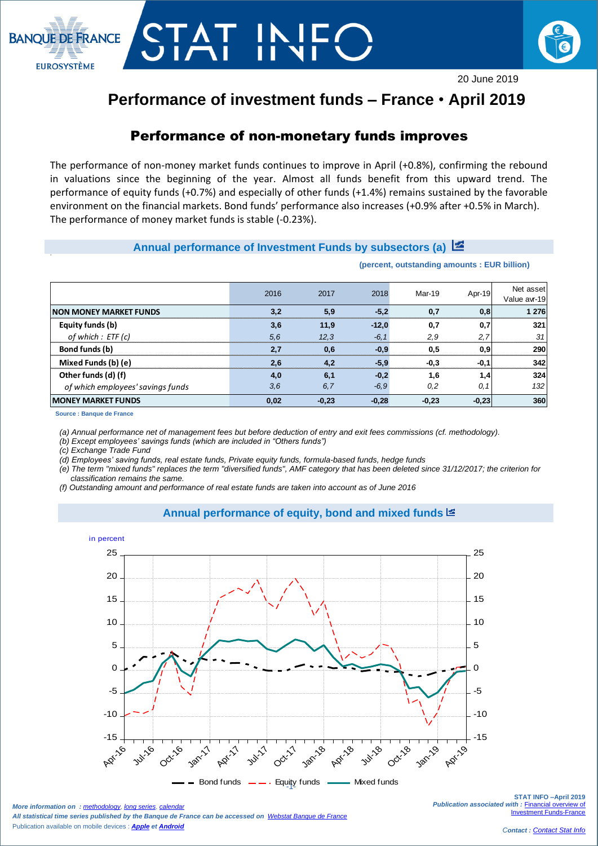



# **Performance of investment funds – France** • **April 2019**

# Performance of non-monetary funds improves

The performance of non-money market funds continues to improve in April (+0.8%), confirming the rebound in valuations since the beginning of the year. Almost all funds benefit from this upward trend. The performance of equity funds (+0.7%) and especially of other funds (+1.4%) remains sustained by the favorable environment on the financial markets. Bond funds' performance also increases (+0.9% after +0.5% in March). The performance of money market funds is stable (-0.23%).

## **Annual performance of Investment Funds by subsectors (a)**

**(percent, outstanding amounts : EUR billion)**

|                                   | 2016 | 2017    | 2018    | Mar-19  | Apr-19  | Net asset<br>Value avr-19 |
|-----------------------------------|------|---------|---------|---------|---------|---------------------------|
| <b>INON MONEY MARKET FUNDS</b>    | 3.2  | 5.9     | $-5.2$  | 0.7     | 0,8     | 1 276                     |
| Equity funds (b)                  | 3,6  | 11,9    | $-12.0$ | 0.7     | 0,7     | 321                       |
| of which $:$ ETF (c)              | 5.6  | 12.3    | $-6.1$  | 2,9     | 2,7     | 31                        |
| Bond funds (b)                    | 2.7  | 0,6     | $-0.9$  | 0.5     | 0.9     | 290                       |
| Mixed Funds (b) (e)               | 2.6  | 4.2     | $-5.9$  | $-0.3$  | $-0.1$  | 342                       |
| Other funds (d) (f)               | 4.0  | 6.1     | $-0.2$  | 1.6     | 1,4     | 324                       |
| of which employees' savings funds | 3,6  | 6,7     | $-6,9$  | 0,2     | 0,1     | 132                       |
| <b>MONEY MARKET FUNDS</b>         | 0,02 | $-0,23$ | $-0,28$ | $-0,23$ | $-0,23$ | 360                       |

**Source : Banque de France**

 $\overline{\phantom{a}}$ 

*(a) Annual performance net of management fees but before deduction of entry and exit fees commissions (cf. methodology).*

*(b) Except employees' savings funds (which are included in "Others funds")*

*(c) Exchange Trade Fund* 

*(d) Employees' saving funds, real estate funds, Private equity funds, formula-based funds, hedge funds*

*(e) The term "mixed funds" replaces the term "diversified funds", AMF category that has been deleted since 31/12/2017; the criterion for classification remains the same.*

*(f) Outstanding amount and performance of real estate funds are taken into account as of June 2016*

### **Annual performance of equity, bond and mixed funds**



 $\frac{1}{2}$  bond runds  $\frac{1}{2}$  equipped  $\frac{1}{2}$ Bond funds  $\qquad$  - Equity funds  $\qquad$  Mixed funds

*More information on : [methodology](https://www.banque-france.fr/en/node/21464), [long series](http://webstat.banque-france.fr/en/browse.do?node=5384218), [calendar](https://www.banque-france.fr/en/statistics/calendar)ry All statistical time series published by the Banque de France can be accessed on [Webstat Banque de France](http://webstat.banque-france.fr/en/)* Publication available on mobile devices : *[Apple](https://itunes.apple.com/fr/app/banquefrance/id663817914?mt=8) e[t Android](https://play.google.com/store/apps/details?id=fr.bdf.mobile&feature=search_result#?t=W251bGwsMSwyLDEsImZyLmJkZi5tb2JpbGUiXQ)*

**STAT INFO –April 2019** *Publication associated with :* [Financial overview of](https://www.banque-france.fr/en/node/4206)  **Investment Funds-Fra**